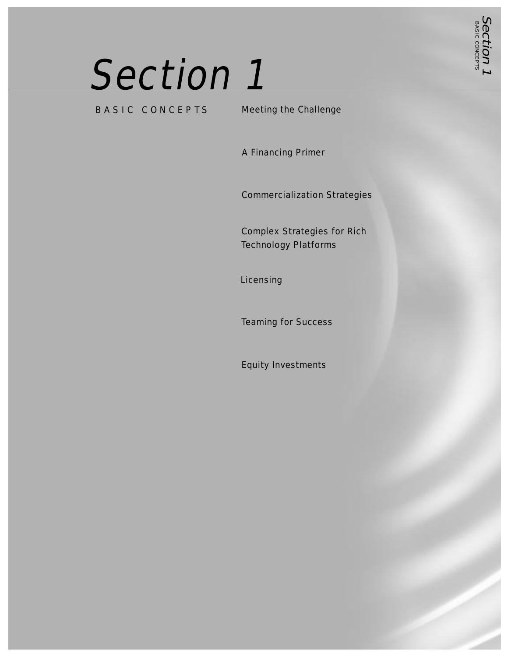# Section 1

BASIC CONCEPTS Meeting the Challenge

Section 1 BASIC CONCEPTS

A Financing Primer

Commercialization Strategies

Complex Strategies for Rich Technology Platforms

Licensing

Teaming for Success

Equity Investments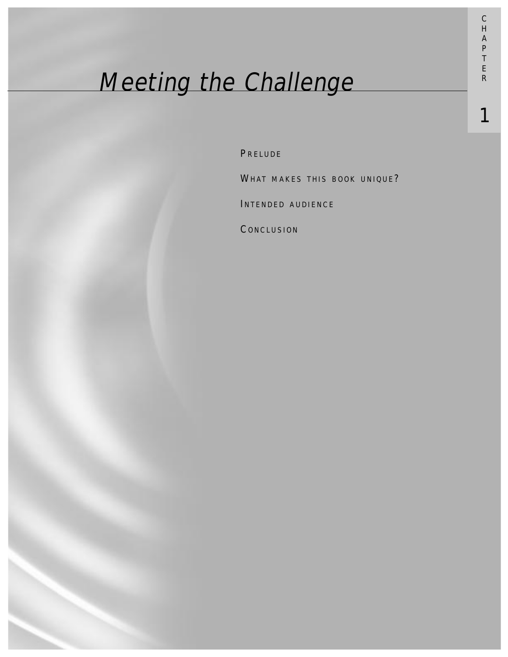# Meeting the Challenge

**PRELUDE** 

WHAT MAKES THIS BOOK UNIQUE?

INTENDED AUDIENCE

**CONCLUSION** 

1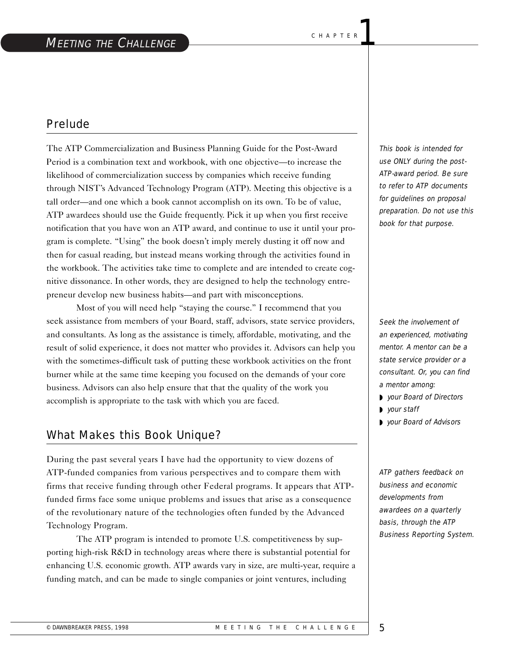#### Prelude

The ATP Commercialization and Business Planning Guide for the Post-Award Period is a combination text and workbook, with one objective—to increase the likelihood of commercialization success by companies which receive funding through NIST's Advanced Technology Program (ATP). Meeting this objective is a tall order—and one which a book cannot accomplish on its own. To be of value, ATP awardees should use the Guide frequently. Pick it up when you first receive notification that you have won an ATP award, and continue to use it until your program is complete. "Using" the book doesn't imply merely dusting it off now and then for casual reading, but instead means working through the activities found in the workbook. The activities take time to complete and are intended to create cognitive dissonance. In other words, they are designed to help the technology entrepreneur develop new business habits—and part with misconceptions.

Most of you will need help "staying the course." I recommend that you seek assistance from members of your Board, staff, advisors, state service providers, and consultants. As long as the assistance is timely, affordable, motivating, and the result of solid experience, it does not matter who provides it. Advisors can help you with the sometimes-difficult task of putting these workbook activities on the front burner while at the same time keeping you focused on the demands of your core business. Advisors can also help ensure that that the quality of the work you accomplish is appropriate to the task with which you are faced.

## What Makes this Book Unique?

During the past several years I have had the opportunity to view dozens of ATP-funded companies from various perspectives and to compare them with firms that receive funding through other Federal programs. It appears that ATPfunded firms face some unique problems and issues that arise as a consequence of the revolutionary nature of the technologies often funded by the Advanced Technology Program.

The ATP program is intended to promote U.S. competitiveness by supporting high-risk R&D in technology areas where there is substantial potential for enhancing U.S. economic growth. ATP awards vary in size, are multi-year, require a funding match, and can be made to single companies or joint ventures, including

This book is intended for use ONLY during the post-ATP-award period. Be sure to refer to ATP documents for guidelines on proposal preparation. Do not use this book for that purpose.

Seek the involvement of an experienced, motivating mentor. A mentor can be a state service provider or a consultant. Or, you can find a mentor among:

- ◗ your Board of Directors
- ◗ your staff
- ◗ your Board of Advisors

ATP gathers feedback on business and economic developments from awardees on a quarterly basis, through the ATP Business Reporting System.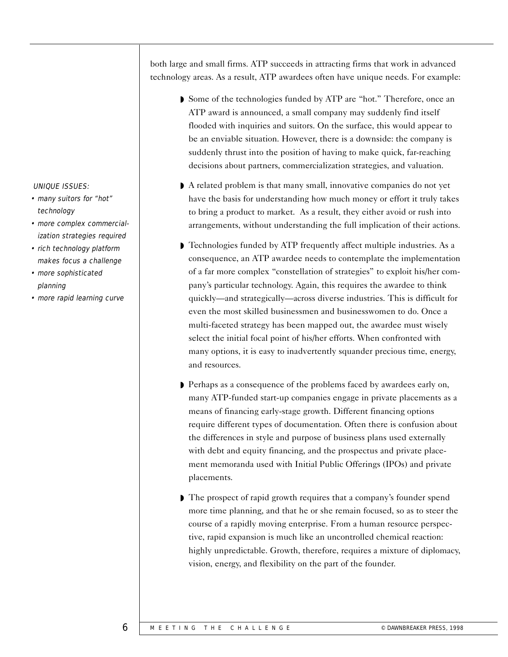both large and small firms. ATP succeeds in attracting firms that work in advanced technology areas. As a result, ATP awardees often have unique needs. For example:

- ◗ Some of the technologies funded by ATP are "hot." Therefore, once an ATP award is announced, a small company may suddenly find itself flooded with inquiries and suitors. On the surface, this would appear to be an enviable situation. However, there is a downside: the company is suddenly thrust into the position of having to make quick, far-reaching decisions about partners, commercialization strategies, and valuation.
- A related problem is that many small, innovative companies do not yet have the basis for understanding how much money or effort it truly takes to bring a product to market. As a result, they either avoid or rush into arrangements, without understanding the full implication of their actions.
- Technologies funded by ATP frequently affect multiple industries. As a consequence, an ATP awardee needs to contemplate the implementation of a far more complex "constellation of strategies" to exploit his/her company's particular technology. Again, this requires the awardee to think quickly—and strategically—across diverse industries. This is difficult for even the most skilled businessmen and businesswomen to do. Once a multi-faceted strategy has been mapped out, the awardee must wisely select the initial focal point of his/her efforts. When confronted with many options, it is easy to inadvertently squander precious time, energy, and resources.
- ◗ Perhaps as a consequence of the problems faced by awardees early on, many ATP-funded start-up companies engage in private placements as a means of financing early-stage growth. Different financing options require different types of documentation. Often there is confusion about the differences in style and purpose of business plans used externally with debt and equity financing, and the prospectus and private placement memoranda used with Initial Public Offerings (IPOs) and private placements.
- The prospect of rapid growth requires that a company's founder spend more time planning, and that he or she remain focused, so as to steer the course of a rapidly moving enterprise. From a human resource perspective, rapid expansion is much like an uncontrolled chemical reaction: highly unpredictable. Growth, therefore, requires a mixture of diplomacy, vision, energy, and flexibility on the part of the founder.

#### UNIQUE ISSUES:

- many suitors for "hot" technology
- more complex commercialization strategies required
- rich technology platform makes focus a challenge
- more sophisticated planning
- more rapid learning curve

6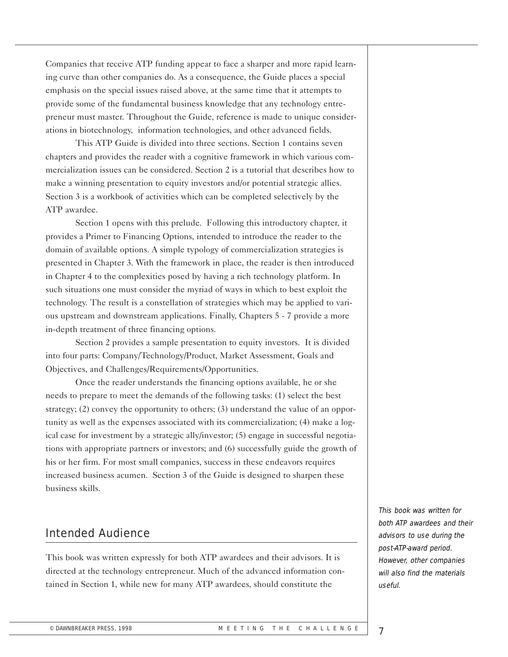Companies that receive ATP funding appear to face a sharper and more rapid learning curve than other companies do. As a consequence, the Guide places a special emphasis on the special issues raised above, at the same time that it attempts to provide some of the fundamental business knowledge that any technology entrepreneur must master. Throughout the Guide, reference is made to unique considerations in biotechnology, information technologies, and other advanced fields.

This ATP Guide is divided into three sections. Section 1 contains seven chapters and provides the reader with a cognitive framework in which various commercialization issues can be considered. Section 2 is a tutorial that describes how to make a winning presentation to equity investors and/or potential strategic allies. Section 3 is a workbook of activities which can be completed selectively by the ATP awardee.

Section 1 opens with this prelude. Following this introductory chapter, it provides a Primer to Financing Options, intended to introduce the reader to the domain of available options. A simple typology of commercialization strategies is presented in Chapter 3. With the framework in place, the reader is then introduced in Chapter 4 to the complexities posed by having a rich technology platform. In such situations one must consider the myriad of ways in which to best exploit the technology. The result is a constellation of strategies which may be applied to various upstream and downstream applications. Finally, Chapters 5 - 7 provide a more in-depth treatment of three financing options.

Section 2 provides a sample presentation to equity investors. It is divided into four parts: Company/Technology/Product, Market Assessment, Goals and Objectives, and Challenges/Requirements/Opportunities.

Once the reader understands the financing options available, he or she needs to prepare to meet the demands of the following tasks: (1) select the best strategy; (2) convey the opportunity to others; (3) understand the value of an opportunity as well as the expenses associated with its commercialization; (4) make a logical case for investment by a strategic ally/investor; (5) engage in successful negotiations with appropriate partners or investors; and (6) successfully guide the growth of his or her firm. For most small companies, success in these endeavors requires increased business acumen. Section 3 of the Guide is designed to sharpen these business skills.

### Intended Audience

This book was written expressly for both ATP awardees and their advisors. It is directed at the technology entrepreneur. Much of the advanced information contained in Section 1, while new for many ATP awardees, should constitute the

This book was written for both ATP awardees and their advisors to use during the post-ATP-award period. However, other companies will also find the materials useful.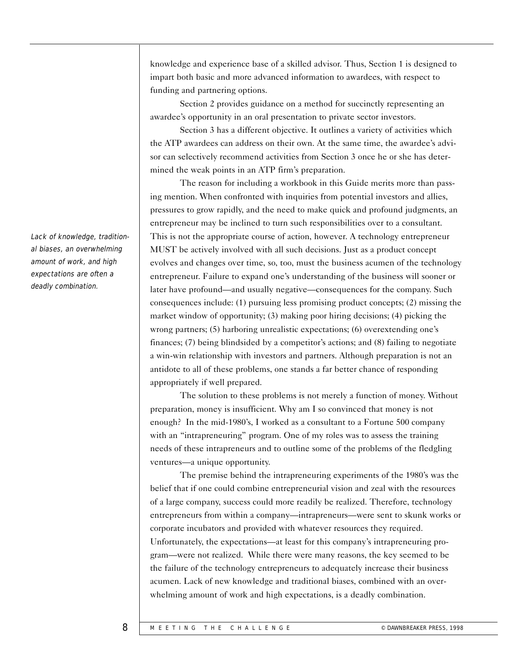knowledge and experience base of a skilled advisor. Thus, Section 1 is designed to impart both basic and more advanced information to awardees, with respect to funding and partnering options.

Section 2 provides guidance on a method for succinctly representing an awardee's opportunity in an oral presentation to private sector investors.

Section 3 has a different objective. It outlines a variety of activities which the ATP awardees can address on their own. At the same time, the awardee's advisor can selectively recommend activities from Section 3 once he or she has determined the weak points in an ATP firm's preparation.

The reason for including a workbook in this Guide merits more than passing mention. When confronted with inquiries from potential investors and allies, pressures to grow rapidly, and the need to make quick and profound judgments, an entrepreneur may be inclined to turn such responsibilities over to a consultant. This is not the appropriate course of action, however. A technology entrepreneur MUST be actively involved with all such decisions. Just as a product concept evolves and changes over time, so, too, must the business acumen of the technology entrepreneur. Failure to expand one's understanding of the business will sooner or later have profound—and usually negative—consequences for the company. Such consequences include: (1) pursuing less promising product concepts; (2) missing the market window of opportunity; (3) making poor hiring decisions; (4) picking the wrong partners; (5) harboring unrealistic expectations; (6) overextending one's finances; (7) being blindsided by a competitor's actions; and (8) failing to negotiate a win-win relationship with investors and partners. Although preparation is not an antidote to all of these problems, one stands a far better chance of responding appropriately if well prepared.

The solution to these problems is not merely a function of money. Without preparation, money is insufficient. Why am I so convinced that money is not enough? In the mid-1980's, I worked as a consultant to a Fortune 500 company with an "intrapreneuring" program. One of my roles was to assess the training needs of these intrapreneurs and to outline some of the problems of the fledgling ventures—a unique opportunity.

The premise behind the intrapreneuring experiments of the 1980's was the belief that if one could combine entrepreneurial vision and zeal with the resources of a large company, success could more readily be realized. Therefore, technology entrepreneurs from within a company—intrapreneurs—were sent to skunk works or corporate incubators and provided with whatever resources they required. Unfortunately, the expectations—at least for this company's intrapreneuring program—were not realized. While there were many reasons, the key seemed to be the failure of the technology entrepreneurs to adequately increase their business acumen. Lack of new knowledge and traditional biases, combined with an overwhelming amount of work and high expectations, is a deadly combination.

Lack of knowledge, traditional biases, an overwhelming amount of work, and high expectations are often a deadly combination.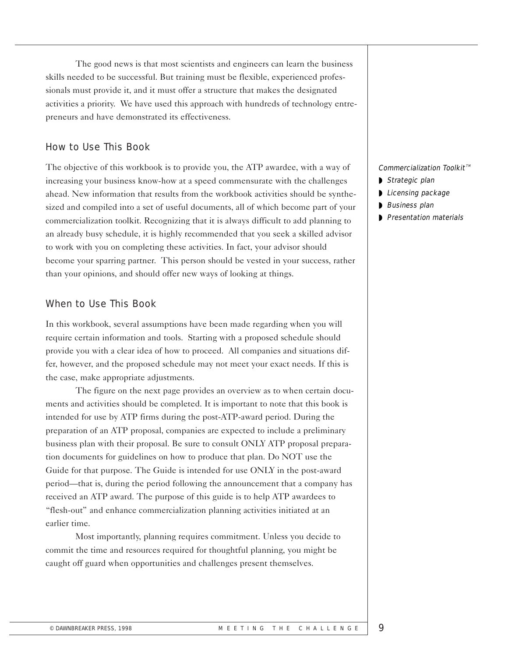The good news is that most scientists and engineers can learn the business skills needed to be successful. But training must be flexible, experienced professionals must provide it, and it must offer a structure that makes the designated activities a priority. We have used this approach with hundreds of technology entrepreneurs and have demonstrated its effectiveness.

#### How to Use This Book

The objective of this workbook is to provide you, the ATP awardee, with a way of increasing your business know-how at a speed commensurate with the challenges ahead. New information that results from the workbook activities should be synthesized and compiled into a set of useful documents, all of which become part of your commercialization toolkit. Recognizing that it is always difficult to add planning to an already busy schedule, it is highly recommended that you seek a skilled advisor to work with you on completing these activities. In fact, your advisor should become your sparring partner. This person should be vested in your success, rather than your opinions, and should offer new ways of looking at things.

#### When to Use This Book

In this workbook, several assumptions have been made regarding when you will require certain information and tools. Starting with a proposed schedule should provide you with a clear idea of how to proceed. All companies and situations differ, however, and the proposed schedule may not meet your exact needs. If this is the case, make appropriate adjustments.

The figure on the next page provides an overview as to when certain documents and activities should be completed. It is important to note that this book is intended for use by ATP firms during the post-ATP-award period. During the preparation of an ATP proposal, companies are expected to include a preliminary business plan with their proposal. Be sure to consult ONLY ATP proposal preparation documents for guidelines on how to produce that plan. Do NOT use the Guide for that purpose. The Guide is intended for use ONLY in the post-award period—that is, during the period following the announcement that a company has received an ATP award. The purpose of this guide is to help ATP awardees to "flesh-out" and enhance commercialization planning activities initiated at an earlier time.

Most importantly, planning requires commitment. Unless you decide to commit the time and resources required for thoughtful planning, you might be caught off guard when opportunities and challenges present themselves.

#### Commercialization Toolkit $T^M$

- ◗ Strategic plan
- Licensing package
- ◗ Business plan
- ◗ Presentation materials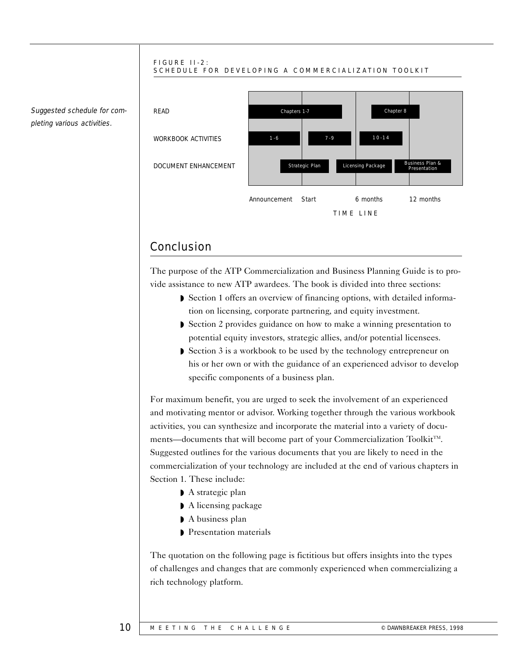

Conclusion

The purpose of the ATP Commercialization and Business Planning Guide is to provide assistance to new ATP awardees. The book is divided into three sections:

- Section 1 offers an overview of financing options, with detailed information on licensing, corporate partnering, and equity investment.
- ◗ Section 2 provides guidance on how to make a winning presentation to potential equity investors, strategic allies, and/or potential licensees.
- ◗ Section 3 is a workbook to be used by the technology entrepreneur on his or her own or with the guidance of an experienced advisor to develop specific components of a business plan.

For maximum benefit, you are urged to seek the involvement of an experienced and motivating mentor or advisor. Working together through the various workbook activities, you can synthesize and incorporate the material into a variety of documents—documents that will become part of your Commercialization Toolkit $T^M$ . Suggested outlines for the various documents that you are likely to need in the commercialization of your technology are included at the end of various chapters in Section 1. These include:

- ◗ A strategic plan
- ◗ A licensing package
- ◗ A business plan
- ◗ Presentation materials

The quotation on the following page is fictitious but offers insights into the types of challenges and changes that are commonly experienced when commercializing a rich technology platform.

#### Suggested schedule for completing various activities.